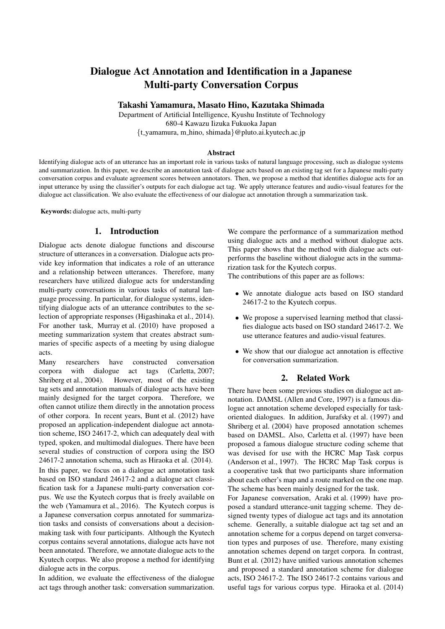# Dialogue Act Annotation and Identification in a Japanese Multi-party Conversation Corpus

Takashi Yamamura, Masato Hino, Kazutaka Shimada

Department of Artificial Intelligence, Kyushu Institute of Technology 680-4 Kawazu Iizuka Fukuoka Japan *{*t yamamura, m hino, shimada*}*@pluto.ai.kyutech.ac.jp

#### Abstract

Identifying dialogue acts of an utterance has an important role in various tasks of natural language processing, such as dialogue systems and summarization. In this paper, we describe an annotation task of dialogue acts based on an existing tag set for a Japanese multi-party conversation corpus and evaluate agreement scores between annotators. Then, we propose a method that identifies dialogue acts for an input utterance by using the classifier's outputs for each dialogue act tag. We apply utterance features and audio-visual features for the dialogue act classification. We also evaluate the effectiveness of our dialogue act annotation through a summarization task.

Keywords: dialogue acts, multi-party

#### 1. Introduction

Dialogue acts denote dialogue functions and discourse structure of utterances in a conversation. Dialogue acts provide key information that indicates a role of an utterance and a relationship between utterances. Therefore, many researchers have utilized dialogue acts for understanding multi-party conversations in various tasks of natural language processing. In particular, for dialogue systems, identifying dialogue acts of an utterance contributes to the selection of appropriate responses (Higashinaka et al., 2014). For another task, Murray et al. (2010) have proposed a meeting summarization system that creates abstract summaries of specific aspects of a meeting by using dialogue acts.

Many researchers have constructed conversation corpora with dialogue act tags (Carletta, 2007; Shriberg et al., 2004). However, most of the existing tag sets and annotation manuals of dialogue acts have been mainly designed for the target corpora. Therefore, we often cannot utilize them directly in the annotation process of other corpora. In recent years, Bunt et al. (2012) have proposed an application-independent dialogue act annotation scheme, ISO 24617-2, which can adequately deal with typed, spoken, and multimodal dialogues. There have been several studies of construction of corpora using the ISO 24617-2 annotation schema, such as Hiraoka et al. (2014). In this paper, we focus on a dialogue act annotation task based on ISO standard 24617-2 and a dialogue act classification task for a Japanese multi-party conversation corpus. We use the Kyutech corpus that is freely available on the web (Yamamura et al., 2016). The Kyutech corpus is a Japanese conversation corpus annotated for summarization tasks and consists of conversations about a decisionmaking task with four participants. Although the Kyutech corpus contains several annotations, dialogue acts have not been annotated. Therefore, we annotate dialogue acts to the Kyutech corpus. We also propose a method for identifying dialogue acts in the corpus.

In addition, we evaluate the effectiveness of the dialogue act tags through another task: conversation summarization.

We compare the performance of a summarization method using dialogue acts and a method without dialogue acts. This paper shows that the method with dialogue acts outperforms the baseline without dialogue acts in the summarization task for the Kyutech corpus.

The contributions of this paper are as follows:

- *•* We annotate dialogue acts based on ISO standard 24617-2 to the Kyutech corpus.
- *•* We propose a supervised learning method that classifies dialogue acts based on ISO standard 24617-2. We use utterance features and audio-visual features.
- *•* We show that our dialogue act annotation is effective for conversation summarization.

#### 2. Related Work

There have been some previous studies on dialogue act annotation. DAMSL (Allen and Core, 1997) is a famous dialogue act annotation scheme developed especially for taskoriented dialogues. In addition, Jurafsky et al. (1997) and Shriberg et al. (2004) have proposed annotation schemes based on DAMSL. Also, Carletta et al. (1997) have been proposed a famous dialogue structure coding scheme that was devised for use with the HCRC Map Task corpus (Anderson et al., 1997). The HCRC Map Task corpus is a cooperative task that two participants share information about each other's map and a route marked on the one map. The scheme has been mainly designed for the task.

For Japanese conversation, Araki et al. (1999) have proposed a standard utterance-unit tagging scheme. They designed twenty types of dialogue act tags and its annotation scheme. Generally, a suitable dialogue act tag set and an annotation scheme for a corpus depend on target conversation types and purposes of use. Therefore, many existing annotation schemes depend on target corpora. In contrast, Bunt et al. (2012) have unified various annotation schemes and proposed a standard annotation scheme for dialogue acts, ISO 24617-2. The ISO 24617-2 contains various and useful tags for various corpus type. Hiraoka et al. (2014)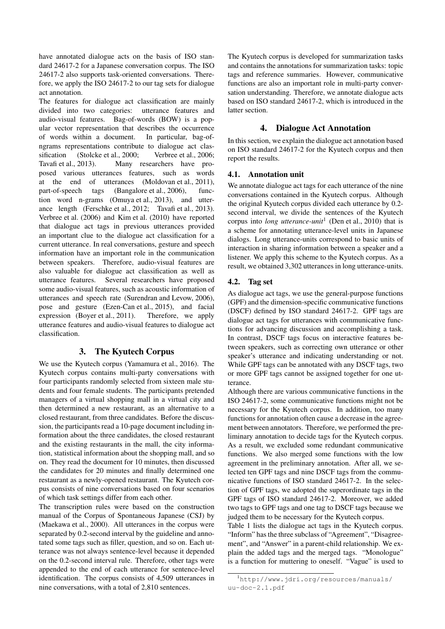have annotated dialogue acts on the basis of ISO standard 24617-2 for a Japanese conversation corpus. The ISO 24617-2 also supports task-oriented conversations. Therefore, we apply the ISO 24617-2 to our tag sets for dialogue act annotation.

The features for dialogue act classification are mainly divided into two categories: utterance features and audio-visual features. Bag-of-words (BOW) is a popular vector representation that describes the occurrence of words within a document. In particular, bag-ofngrams representations contribute to dialogue act classification (Stolcke et al., 2000; Verbree et al., 2006; Tavafi et al., 2013). Many researchers have proposed various utterances features, such as words at the end of utterances (Moldovan et al., 2011), part-of-speech tags (Bangalore et al., 2006), function word n-grams (Omuya et al., 2013), and utterance length (Ferschke et al., 2012; Tavafi et al., 2013). Verbree et al. (2006) and Kim et al. (2010) have reported that dialogue act tags in previous utterances provided an important clue to the dialogue act classification for a current utterance. In real conversations, gesture and speech information have an important role in the communication between speakers. Therefore, audio-visual features are also valuable for dialogue act classification as well as utterance features. Several researchers have proposed some audio-visual features, such as acoustic information of utterances and speech rate (Surendran and Levow, 2006), pose and gesture (Ezen-Can et al., 2015), and facial expression (Boyer et al., 2011). Therefore, we apply utterance features and audio-visual features to dialogue act classification.

## 3. The Kyutech Corpus

We use the Kyutech corpus (Yamamura et al., 2016). The Kyutech corpus contains multi-party conversations with four participants randomly selected from sixteen male students and four female students. The participants pretended managers of a virtual shopping mall in a virtual city and then determined a new restaurant, as an alternative to a closed restaurant, from three candidates. Before the discussion, the participants read a 10-page document including information about the three candidates, the closed restaurant and the existing restaurants in the mall, the city information, statistical information about the shopping mall, and so on. They read the document for 10 minutes, then discussed the candidates for 20 minutes and finally determined one restaurant as a newly-opened restaurant. The Kyutech corpus consists of nine conversations based on four scenarios of which task settings differ from each other.

The transcription rules were based on the construction manual of the Corpus of Spontaneous Japanese (CSJ) by (Maekawa et al., 2000). All utterances in the corpus were separated by 0.2-second interval by the guideline and annotated some tags such as filler, question, and so on. Each utterance was not always sentence-level because it depended on the 0.2-second interval rule. Therefore, other tags were appended to the end of each utterance for sentence-level identification. The corpus consists of 4,509 utterances in nine conversations, with a total of 2,810 sentences.

The Kyutech corpus is developed for summarization tasks and contains the annotations for summarization tasks: topic tags and reference summaries. However, communicative functions are also an important role in multi-party conversation understanding. Therefore, we annotate dialogue acts based on ISO standard 24617-2, which is introduced in the latter section.

## 4. Dialogue Act Annotation

In this section, we explain the dialogue act annotation based on ISO standard 24617-2 for the Kyutech corpus and then report the results.

### 4.1. Annotation unit

We annotate dialogue act tags for each utterance of the nine conversations contained in the Kyutech corpus. Although the original Kyutech corpus divided each utterance by 0.2 second interval, we divide the sentences of the Kyutech corpus into *long utterance-unit*<sup>1</sup> (Den et al., 2010) that is a scheme for annotating utterance-level units in Japanese dialogs. Long utterance-units correspond to basic units of interaction in sharing information between a speaker and a listener. We apply this scheme to the Kyutech corpus. As a result, we obtained 3,302 utterances in long utterance-units.

## 4.2. Tag set

As dialogue act tags, we use the general-purpose functions (GPF) and the dimension-specific communicative functions (DSCF) defined by ISO standard 24617-2. GPF tags are dialogue act tags for utterances with communicative functions for advancing discussion and accomplishing a task. In contrast, DSCF tags focus on interactive features between speakers, such as correcting own utterance or other speaker's utterance and indicating understanding or not. While GPF tags can be annotated with any DSCF tags, two or more GPF tags cannot be assigned together for one utterance.

Although there are various communicative functions in the ISO 24617-2, some communicative functions might not be necessary for the Kyutech corpus. In addition, too many functions for annotation often cause a decrease in the agreement between annotators. Therefore, we performed the preliminary annotation to decide tags for the Kyutech corpus. As a result, we excluded some redundant communicative functions. We also merged some functions with the low agreement in the preliminary annotation. After all, we selected ten GPF tags and nine DSCF tags from the communicative functions of ISO standard 24617-2. In the selection of GPF tags, we adopted the superordinate tags in the GPF tags of ISO standard 24617-2. Moreover, we added two tags to GPF tags and one tag to DSCF tags because we judged them to be necessary for the Kyutech corpus.

Table 1 lists the dialogue act tags in the Kyutech corpus. "Inform" has the three subclass of "Agreement", "Disagreement", and "Answer" in a parent-child relationship. We explain the added tags and the merged tags. "Monologue" is a function for muttering to oneself. "Vague" is used to

<sup>1</sup>http://www.jdri.org/resources/manuals/ uu-doc-2.1.pdf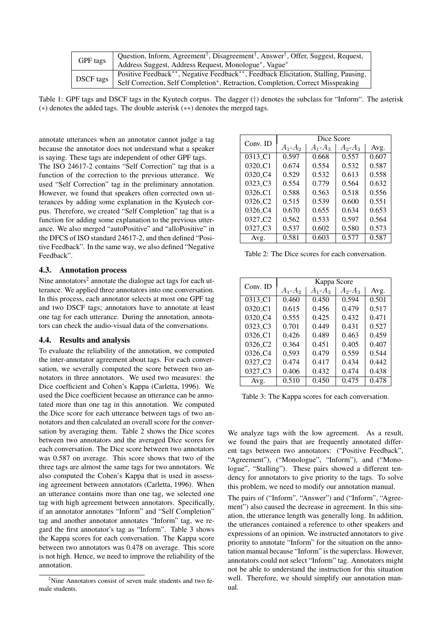|           | Question, Inform, Agreement <sup>†</sup> , Disagreement <sup>†</sup> , Answer <sup>†</sup> , Offer, Suggest, Request, |
|-----------|-----------------------------------------------------------------------------------------------------------------------|
| GPF tags  | Address Suggest, Address Request, Monologue <sup>*</sup> , Vague <sup>*</sup>                                         |
| DSCF tags | Positive Feedback <sup>**</sup> , Negative Feedback <sup>**</sup> , Feedback Elicitation, Stalling, Pausing,          |
|           | Self Correction, Self Completion <sup>*</sup> , Retraction, Completion, Correct Misspeaking                           |

Table 1: GPF tags and DSCF tags in the Kyutech corpus. The dagger (*†*) denotes the subclass for "Inform". The asterisk (*∗*) denotes the added tags. The double asterisk (*∗∗*) denotes the merged tags.

annotate utterances when an annotator cannot judge a tag because the annotator does not understand what a speaker is saying. These tags are independent of other GPF tags.

The ISO 24617-2 contains "Self Correction" tag that is a function of the correction to the previous utterance. We used "Self Correction" tag in the preliminary annotation. However, we found that speakers often corrected own utterances by adding some explanation in the Kyutech corpus. Therefore, we created "Self Completion" tag that is a function for adding some explanation to the previous utterance. We also merged "autoPositive" and "alloPositive" in the DFCS of ISO standard 24617-2, and then defined "Positive Feedback". In the same way, we also defined "Negative Feedback".

#### 4.3. Annotation process

Nine annotators<sup>2</sup> annotate the dialogue act tags for each utterance. We applied three annotators into one conversation. In this process, each annotator selects at most one GPF tag and two DSCF tags; annotators have to annotate at least one tag for each utterance. During the annotation, annotators can check the audio-visual data of the conversations.

#### 4.4. Results and analysis

To evaluate the reliability of the annotation, we computed the inter-annotator agreement about tags. For each conversation, we severally computed the score between two annotators in three annotators. We used two measures: the Dice coefficient and Cohen's Kappa (Carletta, 1996). We used the Dice coefficient because an utterance can be annotated more than one tag in this annotation. We computed the Dice score for each utterance between tags of two annotators and then calculated an overall score for the conversation by averaging them. Table 2 shows the Dice scores between two annotators and the averaged Dice scores for each conversation. The Dice score between two annotators was 0.587 on average. This score shows that two of the three tags are almost the same tags for two annotators. We also computed the Cohen's Kappa that is used in assessing agreement between annotators (Carletta, 1996). When an utterance contains more than one tag, we selected one tag with high agreement between annotators. Specifically, if an annotator annotates "Inform" and "Self Completion" tag and another annotator annotates "Inform" tag, we regard the first annotator's tag as "Inform". Table 3 shows the Kappa scores for each conversation. The Kappa score between two annotators was 0.478 on average. This score is not high. Hence, we need to improve the reliability of the annotation.

|                     | Dice Score  |             |             |       |
|---------------------|-------------|-------------|-------------|-------|
| Conv. ID            | $A_1 - A_2$ | $A_1 - A_3$ | $A_2 - A_3$ | Avg.  |
| 0313_C1             | 0.597       | 0.668       | 0.557       | 0.607 |
| $0320\_C1$          | 0.674       | 0.554       | 0.532       | 0.587 |
| $0320\_C4$          | 0.529       | 0.532       | 0.613       | 0.558 |
| $0323\_C3$          | 0.554       | 0.779       | 0.564       | 0.632 |
| 0326 C1             | 0.588       | 0.563       | 0.518       | 0.556 |
| 0326 C <sub>2</sub> | 0.515       | 0.539       | 0.600       | 0.551 |
| 0326 C <sub>4</sub> | 0.670       | 0.655       | 0.634       | 0.653 |
| 0327 C <sub>2</sub> | 0.562       | 0.533       | 0.597       | 0.564 |
| 0327 C <sub>3</sub> | 0.537       | 0.602       | 0.580       | 0.573 |
| Avg.                | 0.581       | 0.603       | 0.577       | 0.587 |

Table 2: The Dice scores for each conversation.

|                                  | Kappa Score |             |             |       |
|----------------------------------|-------------|-------------|-------------|-------|
| Conv. ID                         | $A_1 - A_2$ | $A_1 - A_3$ | $A_2 - A_3$ | Avg.  |
| 0313 C1                          | 0.460       | 0.450       | 0.594       | 0.501 |
| 0320 <sub>-C1</sub>              | 0.615       | 0.456       | 0.479       | 0.517 |
| 0320 C <sub>4</sub>              | 0.555       | 0.425       | 0.432       | 0.471 |
| $0323 \text{ }C3$                | 0.701       | 0.449       | 0.431       | 0.527 |
| 0326 <sub>-C1</sub>              | 0.426       | 0.489       | 0.463       | 0.459 |
| $0326\_C2$                       | 0.364       | 0.451       | 0.405       | 0.407 |
| $0326\_C4$                       | 0.593       | 0.479       | 0.559       | 0.544 |
| 0327 <sub>-</sub> C <sub>2</sub> | 0.474       | 0.417       | 0.434       | 0.442 |
| 0327 <sub>-</sub> C <sub>3</sub> | 0.406       | 0.432       | 0.474       | 0.438 |
| Avg.                             | 0.510       | 0.450       | 0.475       | 0.478 |

Table 3: The Kappa scores for each conversation.

We analyze tags with the low agreement. As a result, we found the pairs that are frequently annotated different tags between two annotators: ("Positive Feedback", "Agreement"), ("Monologue", "Inform"), and ("Monologue", "Stalling"). These pairs showed a different tendency for annotators to give priority to the tags. To solve this problem, we need to modify our annotation manual.

The pairs of ("Inform", "Answer") and ("Inform", "Agreement") also caused the decrease in agreement. In this situation, the utterance length was generally long. In addition, the utterances contained a reference to other speakers and expressions of an opinion. We instructed annotators to give priority to annotate "Inform" for the situation on the annotation manual because "Inform" is the superclass. However, annotators could not select "Inform" tag. Annotators might not be able to understand the instruction for this situation well. Therefore, we should simplify our annotation manual.

<sup>&</sup>lt;sup>2</sup>Nine Annotators consist of seven male students and two female students.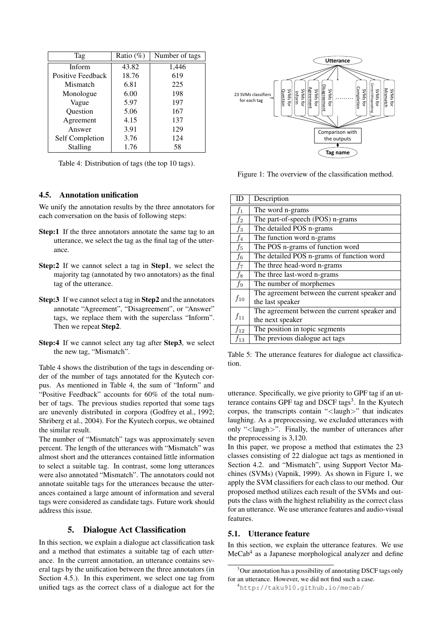| Tag               | Ratio $(\%)$ | Number of tags |  |
|-------------------|--------------|----------------|--|
| Inform            | 43.82        | 1,446          |  |
| Positive Feedback | 18.76        | 619            |  |
| Mismatch          | 6.81         | 225            |  |
| Monologue         | 6.00         | 198            |  |
| Vague             | 5.97         | 197            |  |
| Question          | 5.06         | 167            |  |
| Agreement         | 4.15         | 137            |  |
| Answer            | 3.91         | 129            |  |
| Self Completion   | 3.76         | 124            |  |
| Stalling          | 1.76         | 58             |  |

Table 4: Distribution of tags (the top 10 tags).

### 4.5. Annotation unification

We unify the annotation results by the three annotators for each conversation on the basis of following steps:

- Step:1 If the three annotators annotate the same tag to an utterance, we select the tag as the final tag of the utterance.
- Step:2 If we cannot select a tag in Step1, we select the majority tag (annotated by two annotators) as the final tag of the utterance.
- Step:3 If we cannot select a tag in Step2 and the annotators annotate "Agreement", "Disagreement", or "Answer" tags, we replace them with the superclass "Inform". Then we repeat Step2.
- Step:4 If we cannot select any tag after Step3, we select the new tag, "Mismatch".

Table 4 shows the distribution of the tags in descending order of the number of tags annotated for the Kyutech corpus. As mentioned in Table 4, the sum of "Inform" and "Positive Feedback" accounts for 60% of the total number of tags. The previous studies reported that some tags are unevenly distributed in corpora (Godfrey et al., 1992; Shriberg et al., 2004). For the Kyutech corpus, we obtained the similar result.

The number of "Mismatch" tags was approximately seven percent. The length of the utterances with "Mismatch" was almost short and the utterances contained little information to select a suitable tag. In contrast, some long utterances were also annotated "Mismatch". The annotators could not annotate suitable tags for the utterances because the utterances contained a large amount of information and several tags were considered as candidate tags. Future work should address this issue.

### 5. Dialogue Act Classification

In this section, we explain a dialogue act classification task and a method that estimates a suitable tag of each utterance. In the current annotation, an utterance contains several tags by the unification between the three annotators (in Section 4.5.). In this experiment, we select one tag from unified tags as the correct class of a dialogue act for the



Figure 1: The overview of the classification method.

| ID       | Description                                   |
|----------|-----------------------------------------------|
| $f_1$    | The word n-grams                              |
| $f_2$    | The part-of-speech (POS) n-grams              |
| $f_3$    | The detailed POS n-grams                      |
| $f_4$    | The function word n-grams                     |
| $f_5$    | The POS n-grams of function word              |
| $f_6$    | The detailed POS n-grams of function word     |
| $f_7$    | The three head-word n-grams                   |
| $f_8$    | The three last-word n-grams                   |
| $f_9$    | The number of morphemes                       |
|          | The agreement between the current speaker and |
| $f_{10}$ | the last speaker                              |
| $f_{11}$ | The agreement between the current speaker and |
|          | the next speaker                              |
| $f_{12}$ | The position in topic segments                |
| $f_{13}$ | The previous dialogue act tags                |

Table 5: The utterance features for dialogue act classification.

utterance. Specifically, we give priority to GPF tag if an utterance contains GPF tag and DSCF tags<sup>3</sup>. In the Kyutech corpus, the transcripts contain "*<*laugh*>*" that indicates laughing. As a preprocessing, we excluded utterances with only "*<*laugh*>*". Finally, the number of utterances after the preprocessing is 3,120.

In this paper, we propose a method that estimates the 23 classes consisting of 22 dialogue act tags as mentioned in Section 4.2. and "Mismatch", using Support Vector Machines (SVMs) (Vapnik, 1999). As shown in Figure 1, we apply the SVM classifiers for each class to our method. Our proposed method utilizes each result of the SVMs and outputs the class with the highest reliability as the correct class for an utterance. We use utterance features and audio-visual features.

#### 5.1. Utterance feature

In this section, we explain the utterance features. We use MeCab<sup>4</sup> as a Japanese morphological analyzer and define

<sup>&</sup>lt;sup>3</sup>Our annotation has a possibility of annotating DSCF tags only for an utterance. However, we did not find such a case.

<sup>4</sup>http://taku910.github.io/mecab/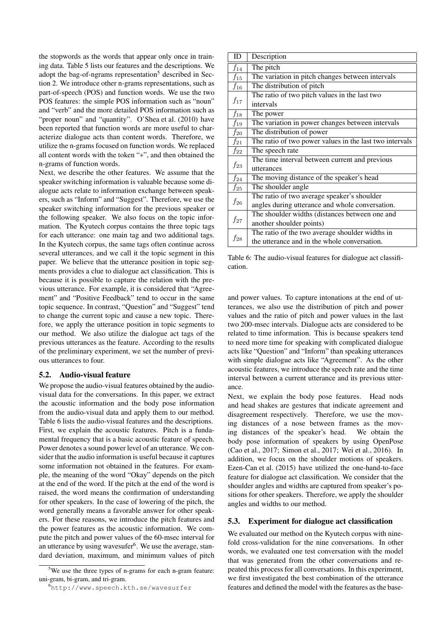the stopwords as the words that appear only once in training data. Table 5 lists our features and the descriptions. We adopt the bag-of-ngrams representation<sup>5</sup> described in Section 2. We introduce other n-grams representations, such as part-of-speech (POS) and function words. We use the two POS features: the simple POS information such as "noun" and "verb" and the more detailed POS information such as "proper noun" and "quantity". O'Shea et al. (2010) have been reported that function words are more useful to characterize dialogue acts than content words. Therefore, we utilize the n-grams focused on function words. We replaced all content words with the token "*∗*", and then obtained the n-grams of function words.

Next, we describe the other features. We assume that the speaker switching information is valuable because some dialogue acts relate to information exchange between speakers, such as "Inform" and "Suggest". Therefore, we use the speaker switching information for the previous speaker or the following speaker. We also focus on the topic information. The Kyutech corpus contains the three topic tags for each utterance: one main tag and two additional tags. In the Kyutech corpus, the same tags often continue across several utterances, and we call it the topic segment in this paper. We believe that the utterance position in topic segments provides a clue to dialogue act classification. This is because it is possible to capture the relation with the previous utterance. For example, it is considered that "Agreement" and "Positive Feedback" tend to occur in the same topic sequence. In contrast, "Question" and "Suggest" tend to change the current topic and cause a new topic. Therefore, we apply the utterance position in topic segments to our method. We also utilize the dialogue act tags of the previous utterances as the feature. According to the results of the preliminary experiment, we set the number of previous utterances to four.

#### 5.2. Audio-visual feature

We propose the audio-visual features obtained by the audiovisual data for the conversations. In this paper, we extract the acoustic information and the body pose information from the audio-visual data and apply them to our method. Table 6 lists the audio-visual features and the descriptions. First, we explain the acoustic features. Pitch is a fundamental frequency that is a basic acoustic feature of speech. Power denotes a sound power level of an utterance. We consider that the audio information is useful because it captures some information not obtained in the features. For example, the meaning of the word "Okay" depends on the pitch at the end of the word. If the pitch at the end of the word is raised, the word means the confirmation of understanding for other speakers. In the case of lowering of the pitch, the word generally means a favorable answer for other speakers. For these reasons, we introduce the pitch features and the power features as the acoustic information. We compute the pitch and power values of the 60-msec interval for an utterance by using wavesufer<sup>6</sup>. We use the average, standard deviation, maximum, and minimum values of pitch

| ID       | Description                                             |
|----------|---------------------------------------------------------|
| $f_{14}$ | The pitch                                               |
| $f_{15}$ | The variation in pitch changes between intervals        |
| $f_{16}$ | The distribution of pitch                               |
|          | The ratio of two pitch values in the last two           |
| $f_{17}$ | intervals                                               |
| $f_{18}$ | The power                                               |
| $f_{19}$ | The variation in power changes between intervals        |
| $f_{20}$ | The distribution of power                               |
| $f_{21}$ | The ratio of two power values in the last two intervals |
| $f_{22}$ | The speech rate                                         |
| $f_{23}$ | The time interval between current and previous          |
|          | utterances                                              |
| $f_{24}$ | The moving distance of the speaker's head               |
| $f_{25}$ | The shoulder angle                                      |
| $f_{26}$ | The ratio of two average speaker's shoulder             |
|          | angles during utterance and whole conversation.         |
|          | The shoulder widths (distances between one and          |
| $f_{27}$ | another shoulder points)                                |
|          | The ratio of the two average shoulder widths in         |
| $f_{28}$ | the utterance and in the whole conversation.            |

Table 6: The audio-visual features for dialogue act classification.

and power values. To capture intonations at the end of utterances, we also use the distribution of pitch and power values and the ratio of pitch and power values in the last two 200-msec intervals. Dialogue acts are considered to be related to time information. This is because speakers tend to need more time for speaking with complicated dialogue acts like "Question" and "Inform" than speaking utterances with simple dialogue acts like "Agreement". As the other acoustic features, we introduce the speech rate and the time interval between a current utterance and its previous utterance.

Next, we explain the body pose features. Head nods and head shakes are gestures that indicate agreement and disagreement respectively. Therefore, we use the moving distances of a nose between frames as the mov-<br>ing distances of the speaker's head. We obtain the ing distances of the speaker's head. body pose information of speakers by using OpenPose (Cao et al., 2017; Simon et al., 2017; Wei et al., 2016). In addition, we focus on the shoulder motions of speakers. Ezen-Can et al. (2015) have utilized the one-hand-to-face feature for dialogue act classification. We consider that the shoulder angles and widths are captured from speaker's positions for other speakers. Therefore, we apply the shoulder angles and widths to our method.

#### 5.3. Experiment for dialogue act classification

We evaluated our method on the Kyutech corpus with ninefold cross-validation for the nine conversations. In other words, we evaluated one test conversation with the model that was generated from the other conversations and repeated this process for all conversations. In this experiment, we first investigated the best combination of the utterance features and defined the model with the features as the base-

 $5$ We use the three types of n-grams for each n-gram feature: uni-gram, bi-gram, and tri-gram.

<sup>6</sup>http://www.speech.kth.se/wavesurfer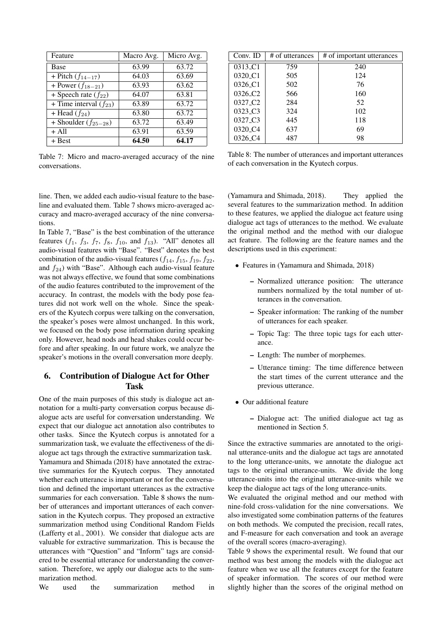| Feature                                 | Macro Avg. | Micro Avg. |
|-----------------------------------------|------------|------------|
| <b>Base</b>                             | 63.99      | 63.72      |
| + Pitch $(f_{14-17})$                   | 64.03      | 63.69      |
| + Power $(f_{18-21})$                   | 63.93      | 63.62      |
| + Speech rate $(f_{22})$                | 64.07      | 63.81      |
| + Time interval $(f_{23})$              | 63.89      | 63.72      |
| + Head $(f_{24})$                       | 63.80      | 63.72      |
| $\overline{+}$ Shoulder ( $f_{25-28}$ ) | 63.72      | 63.49      |
| $+$ All                                 | 63.91      | 63.59      |
| + Best                                  | 64.50      | 64.17      |

Table 7: Micro and macro-averaged accuracy of the nine conversations.

| Conv. ID                         | # of utterances | # of important utterances |
|----------------------------------|-----------------|---------------------------|
| 0313 <sub>-C1</sub>              | 759             | 240                       |
| 0320 <sub>_C1</sub>              | 505             | 124                       |
| 0326 <sub>-C1</sub>              | 502             | 76                        |
| 0326 <sub>-</sub> C <sub>2</sub> | 566             | 160                       |
| 0327 <sub>-</sub> C <sub>2</sub> | 284             | 52                        |
| 0323 <sub>-C3</sub>              | 324             | 102                       |
| 0327 <sub>-C3</sub>              | 445             | 118                       |
| 0320 <sub>-C4</sub>              | 637             | 69                        |
| 0326 <sub>-C4</sub>              | 487             | 98                        |

Table 8: The number of utterances and important utterances of each conversation in the Kyutech corpus.

line. Then, we added each audio-visual feature to the baseline and evaluated them. Table 7 shows micro-averaged accuracy and macro-averaged accuracy of the nine conversations.

In Table 7, "Base" is the best combination of the utterance features  $(f_1, f_3, f_7, f_8, f_{10}$ , and  $f_{13}$ ). "All" denotes all audio-visual features with "Base". "Best" denotes the best combination of the audio-visual features  $(f_{14}, f_{15}, f_{19}, f_{22},$ and  $f_{24}$ ) with "Base". Although each audio-visual feature was not always effective, we found that some combinations of the audio features contributed to the improvement of the accuracy. In contrast, the models with the body pose features did not work well on the whole. Since the speakers of the Kyutech corpus were talking on the conversation, the speaker's poses were almost unchanged. In this work, we focused on the body pose information during speaking only. However, head nods and head shakes could occur before and after speaking. In our future work, we analyze the speaker's motions in the overall conversation more deeply.

## 6. Contribution of Dialogue Act for Other Task

One of the main purposes of this study is dialogue act annotation for a multi-party conversation corpus because dialogue acts are useful for conversation understanding. We expect that our dialogue act annotation also contributes to other tasks. Since the Kyutech corpus is annotated for a summarization task, we evaluate the effectiveness of the dialogue act tags through the extractive summarization task. Yamamura and Shimada (2018) have annotated the extractive summaries for the Kyutech corpus. They annotated whether each utterance is important or not for the conversation and defined the important utterances as the extractive summaries for each conversation. Table 8 shows the number of utterances and important utterances of each conversation in the Kyutech corpus. They proposed an extractive summarization method using Conditional Random Fields (Lafferty et al., 2001). We consider that dialogue acts are valuable for extractive summarization. This is because the utterances with "Question" and "Inform" tags are considered to be essential utterance for understanding the conversation. Therefore, we apply our dialogue acts to the summarization method.

We used the summarization method in

(Yamamura and Shimada, 2018). They applied the several features to the summarization method. In addition to these features, we applied the dialogue act feature using dialogue act tags of utterances to the method. We evaluate the original method and the method with our dialogue act feature. The following are the feature names and the descriptions used in this experiment:

- *•* Features in (Yamamura and Shimada, 2018)
	- Normalized utterance position: The utterance numbers normalized by the total number of utterances in the conversation.
	- Speaker information: The ranking of the number of utterances for each speaker.
	- Topic Tag: The three topic tags for each utterance.
	- Length: The number of morphemes.
	- Utterance timing: The time difference between the start times of the current utterance and the previous utterance.
- *•* Our additional feature
	- Dialogue act: The unified dialogue act tag as mentioned in Section 5.

Since the extractive summaries are annotated to the original utterance-units and the dialogue act tags are annotated to the long utterance-units, we annotate the dialogue act tags to the original utterance-units. We divide the long utterance-units into the original utterance-units while we keep the dialogue act tags of the long utterance-units.

We evaluated the original method and our method with nine-fold cross-validation for the nine conversations. We also investigated some combination patterns of the features on both methods. We computed the precision, recall rates, and F-measure for each conversation and took an average of the overall scores (macro-averaging).

Table 9 shows the experimental result. We found that our method was best among the models with the dialogue act feature when we use all the features except for the feature of speaker information. The scores of our method were slightly higher than the scores of the original method on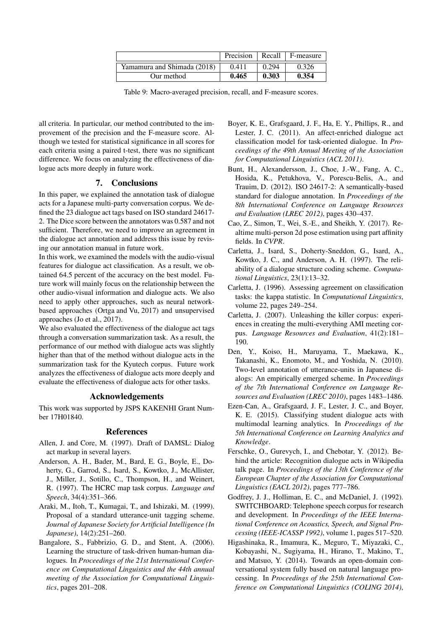|                             | Precision | <b>Recall</b> | F-measure |
|-----------------------------|-----------|---------------|-----------|
| Yamamura and Shimada (2018) | 0.411     | 0.294         | 0.326     |
| Our method                  | 0.465     | 0.303         | 0.354     |

Table 9: Macro-averaged precision, recall, and F-measure scores.

all criteria. In particular, our method contributed to the improvement of the precision and the F-measure score. Although we tested for statistical significance in all scores for each criteria using a paired t-test, there was no significant difference. We focus on analyzing the effectiveness of dialogue acts more deeply in future work.

## 7. Conclusions

In this paper, we explained the annotation task of dialogue acts for a Japanese multi-party conversation corpus. We defined the 23 dialogue act tags based on ISO standard 24617- 2. The Dice score between the annotators was 0.587 and not sufficient. Therefore, we need to improve an agreement in the dialogue act annotation and address this issue by revising our annotation manual in future work.

In this work, we examined the models with the audio-visual features for dialogue act classification. As a result, we obtained 64.5 percent of the accuracy on the best model. Future work will mainly focus on the relationship between the other audio-visual information and dialogue acts. We also need to apply other approaches, such as neural networkbased approaches (Ortga and Vu, 2017) and unsupervised approaches (Jo et al., 2017).

We also evaluated the effectiveness of the dialogue act tags through a conversation summarization task. As a result, the performance of our method with dialogue acts was slightly higher than that of the method without dialogue acts in the summarization task for the Kyutech corpus. Future work analyzes the effectiveness of dialogue acts more deeply and evaluate the effectiveness of dialogue acts for other tasks.

## Acknowledgements

This work was supported by JSPS KAKENHI Grant Number 17H01840.

#### References

- Allen, J. and Core, M. (1997). Draft of DAMSL: Dialog act markup in several layers.
- Anderson, A. H., Bader, M., Bard, E. G., Boyle, E., Doherty, G., Garrod, S., Isard, S., Kowtko, J., McAllister, J., Miller, J., Sotillo, C., Thompson, H., and Weinert, R. (1997). The HCRC map task corpus. *Language and Speech*, 34(4):351–366.
- Araki, M., Itoh, T., Kumagai, T., and Ishizaki, M. (1999). Proposal of a standard utterance-unit tagging scheme. *Journal of Japanese Society for Artificial Intelligence (In Japanese)*, 14(2):251–260.
- Bangalore, S., Fabbrizio, G. D., and Stent, A. (2006). Learning the structure of task-driven human-human dialogues. In *Proceedings of the 21st International Conference on Computational Linguistics and the 44th annual meeting of the Association for Computational Linguistics*, pages 201–208.
- Boyer, K. E., Grafsgaard, J. F., Ha, E. Y., Phillips, R., and Lester, J. C. (2011). An affect-enriched dialogue act classification model for task-oriented dialogue. In *Proceedings of the 49th Annual Meeting of the Association for Computational Linguistics (ACL 2011)*.
- Bunt, H., Alexandersson, J., Choe, J.-W., Fang, A. C., Hosida, K., Petukhova, V., Porescu-Belis, A., and Trauim, D. (2012). ISO 24617-2: A semantically-based standard for dialogue annotation. In *Proceedings of the 8th International Conference on Language Resources and Evaluation (LREC 2012)*, pages 430–437.
- Cao, Z., Simon, T., Wei, S.-E., and Sheikh, Y. (2017). Realtime multi-person 2d pose estimation using part affinity fields. In *CVPR*.
- Carletta, J., Isard, S., Doherty-Sneddon, G., Isard, A., Kowtko, J. C., and Anderson, A. H. (1997). The reliability of a dialogue structure coding scheme. *Computational Linguistics*, 23(1):13–32.
- Carletta, J. (1996). Assessing agreement on classification tasks: the kappa statistic. In *Computational Linguistics*, volume 22, pages 249–254.
- Carletta, J. (2007). Unleashing the killer corpus: experiences in creating the multi-everything AMI meeting corpus. *Language Resources and Evaluation*, 41(2):181– 190.
- Den, Y., Koiso, H., Maruyama, T., Maekawa, K., Takanashi, K., Enomoto, M., and Yoshida, N. (2010). Two-level annotation of utterance-units in Japanese dialogs: An empirically emerged scheme. In *Proceedings of the 7th International Conference on Language Resources and Evaluation (LREC 2010)*, pages 1483–1486.
- Ezen-Can, A., Grafsgaard, J. F., Lester, J. C., and Boyer, K. E. (2015). Classifying student dialogue acts with multimodal learning analytics. In *Proceedings of the 5th International Conference on Learning Analytics and Knowledge*.
- Ferschke, O., Gurevych, I., and Chebotar, Y. (2012). Behind the article: Recognition dialogue acts in Wikipedia talk page. In *Proceedings of the 13th Conference of the European Chapter of the Association for Computational Linguistics (EACL 2012)*, pages 777–786.
- Godfrey, J. J., Holliman, E. C., and McDaniel, J. (1992). SWITCHBOARD: Telephone speech corpus for research and development. In *Proceedings of the IEEE International Conference on Acoustics, Speech, and Signal Processing (IEEE-ICASSP 1992)*, volume 1, pages 517–520.
- Higashinaka, R., Imamura, K., Meguro, T., Miyazaki, C., Kobayashi, N., Sugiyama, H., Hirano, T., Makino, T., and Matsuo, Y. (2014). Towards an open-domain conversational system fully based on natural language processing. In *Proceedings of the 25th International Conference on Computational Linguistics (COLING 2014)*,